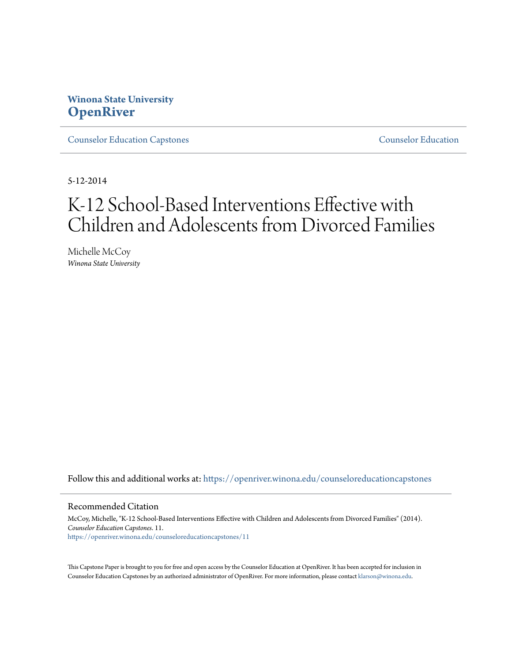### **Winona State University [OpenRiver](https://openriver.winona.edu?utm_source=openriver.winona.edu%2Fcounseloreducationcapstones%2F11&utm_medium=PDF&utm_campaign=PDFCoverPages)**

[Counselor Education Capstones](https://openriver.winona.edu/counseloreducationcapstones?utm_source=openriver.winona.edu%2Fcounseloreducationcapstones%2F11&utm_medium=PDF&utm_campaign=PDFCoverPages) [Counselor Education](https://openriver.winona.edu/counseloreducation?utm_source=openriver.winona.edu%2Fcounseloreducationcapstones%2F11&utm_medium=PDF&utm_campaign=PDFCoverPages)

5-12-2014

# K-12 School-Based Interventions Effective with Children and Adolescents from Divorced Families

Michelle McCoy *Winona State University*

Follow this and additional works at: [https://openriver.winona.edu/counseloreducationcapstones](https://openriver.winona.edu/counseloreducationcapstones?utm_source=openriver.winona.edu%2Fcounseloreducationcapstones%2F11&utm_medium=PDF&utm_campaign=PDFCoverPages)

#### Recommended Citation

McCoy, Michelle, "K-12 School-Based Interventions Effective with Children and Adolescents from Divorced Families" (2014). *Counselor Education Capstones*. 11. [https://openriver.winona.edu/counseloreducationcapstones/11](https://openriver.winona.edu/counseloreducationcapstones/11?utm_source=openriver.winona.edu%2Fcounseloreducationcapstones%2F11&utm_medium=PDF&utm_campaign=PDFCoverPages)

This Capstone Paper is brought to you for free and open access by the Counselor Education at OpenRiver. It has been accepted for inclusion in Counselor Education Capstones by an authorized administrator of OpenRiver. For more information, please contact [klarson@winona.edu](mailto:klarson@winona.edu).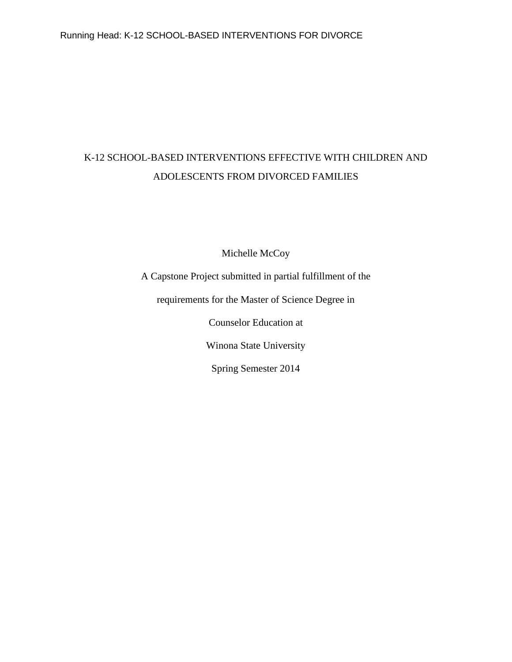## K-12 SCHOOL-BASED INTERVENTIONS EFFECTIVE WITH CHILDREN AND ADOLESCENTS FROM DIVORCED FAMILIES

Michelle McCoy

A Capstone Project submitted in partial fulfillment of the

requirements for the Master of Science Degree in

Counselor Education at

Winona State University

Spring Semester 2014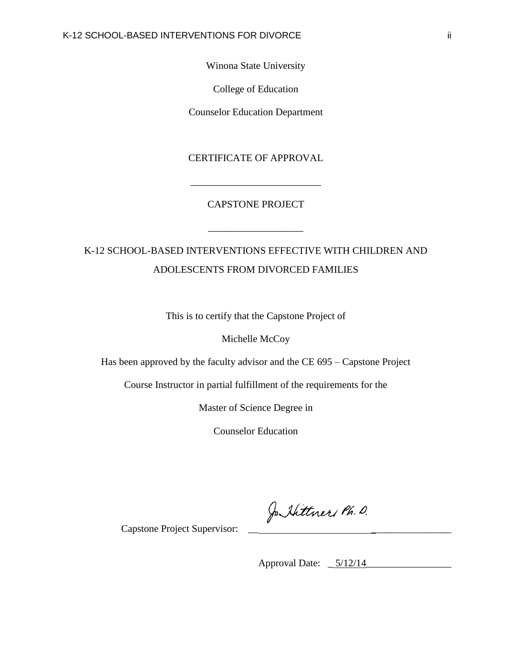Winona State University

College of Education

Counselor Education Department

CERTIFICATE OF APPROVAL

\_\_\_\_\_\_\_\_\_\_\_\_\_\_\_\_\_\_\_\_\_\_\_\_\_\_

#### CAPSTONE PROJECT

\_\_\_\_\_\_\_\_\_\_\_\_\_\_\_\_\_\_\_

### K-12 SCHOOL-BASED INTERVENTIONS EFFECTIVE WITH CHILDREN AND ADOLESCENTS FROM DIVORCED FAMILIES

This is to certify that the Capstone Project of

Michelle McCoy

Has been approved by the faculty advisor and the CE 695 – Capstone Project

Course Instructor in partial fulfillment of the requirements for the

Master of Science Degree in

Counselor Education

Jo Hittner Ph. D.

Capstone Project Supervisor:

Approval Date: \_ 5/12/14\_\_\_\_\_\_\_\_\_\_\_\_\_\_\_\_\_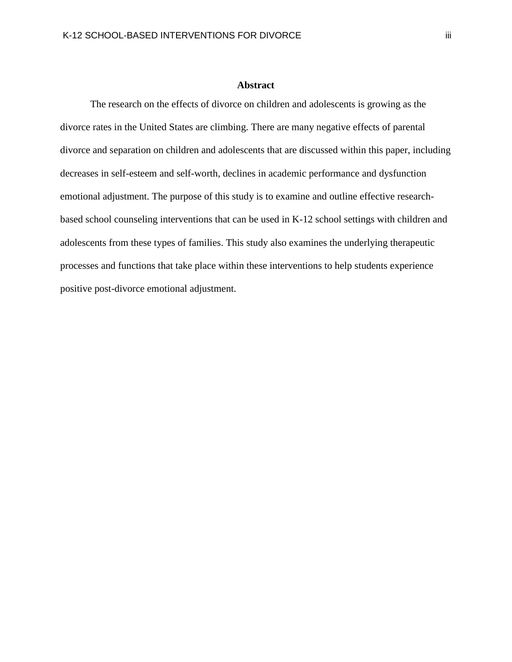#### **Abstract**

The research on the effects of divorce on children and adolescents is growing as the divorce rates in the United States are climbing. There are many negative effects of parental divorce and separation on children and adolescents that are discussed within this paper, including decreases in self-esteem and self-worth, declines in academic performance and dysfunction emotional adjustment. The purpose of this study is to examine and outline effective researchbased school counseling interventions that can be used in K-12 school settings with children and adolescents from these types of families. This study also examines the underlying therapeutic processes and functions that take place within these interventions to help students experience positive post-divorce emotional adjustment.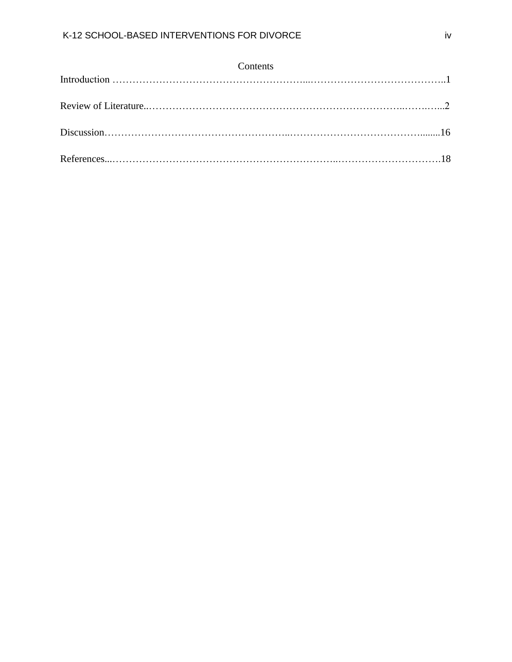| Contents |  |
|----------|--|
|          |  |
|          |  |
|          |  |
|          |  |
|          |  |
|          |  |
|          |  |
|          |  |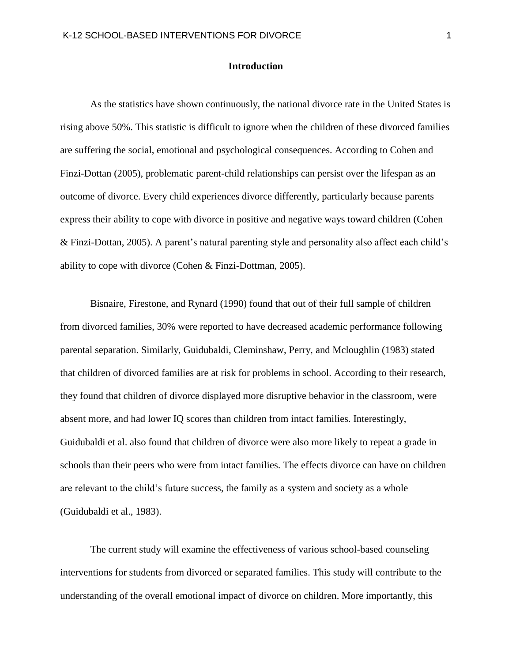#### **Introduction**

As the statistics have shown continuously, the national divorce rate in the United States is rising above 50%. This statistic is difficult to ignore when the children of these divorced families are suffering the social, emotional and psychological consequences. According to Cohen and Finzi-Dottan (2005), problematic parent-child relationships can persist over the lifespan as an outcome of divorce. Every child experiences divorce differently, particularly because parents express their ability to cope with divorce in positive and negative ways toward children (Cohen & Finzi-Dottan, 2005). A parent's natural parenting style and personality also affect each child's ability to cope with divorce (Cohen & Finzi-Dottman, 2005).

Bisnaire, Firestone, and Rynard (1990) found that out of their full sample of children from divorced families, 30% were reported to have decreased academic performance following parental separation. Similarly, Guidubaldi, Cleminshaw, Perry, and Mcloughlin (1983) stated that children of divorced families are at risk for problems in school. According to their research, they found that children of divorce displayed more disruptive behavior in the classroom, were absent more, and had lower IQ scores than children from intact families. Interestingly, Guidubaldi et al. also found that children of divorce were also more likely to repeat a grade in schools than their peers who were from intact families. The effects divorce can have on children are relevant to the child's future success, the family as a system and society as a whole (Guidubaldi et al., 1983).

The current study will examine the effectiveness of various school-based counseling interventions for students from divorced or separated families. This study will contribute to the understanding of the overall emotional impact of divorce on children. More importantly, this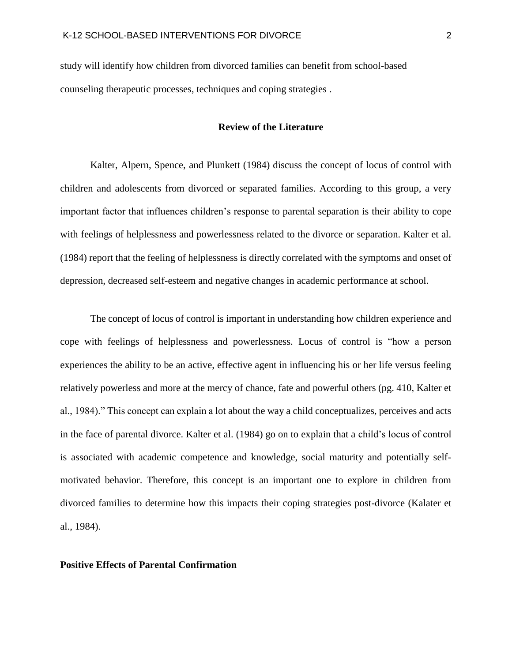study will identify how children from divorced families can benefit from school-based counseling therapeutic processes, techniques and coping strategies .

#### **Review of the Literature**

Kalter, Alpern, Spence, and Plunkett (1984) discuss the concept of locus of control with children and adolescents from divorced or separated families. According to this group, a very important factor that influences children's response to parental separation is their ability to cope with feelings of helplessness and powerlessness related to the divorce or separation. Kalter et al. (1984) report that the feeling of helplessness is directly correlated with the symptoms and onset of depression, decreased self-esteem and negative changes in academic performance at school.

The concept of locus of control is important in understanding how children experience and cope with feelings of helplessness and powerlessness. Locus of control is "how a person experiences the ability to be an active, effective agent in influencing his or her life versus feeling relatively powerless and more at the mercy of chance, fate and powerful others (pg. 410, Kalter et al., 1984)." This concept can explain a lot about the way a child conceptualizes, perceives and acts in the face of parental divorce. Kalter et al. (1984) go on to explain that a child's locus of control is associated with academic competence and knowledge, social maturity and potentially selfmotivated behavior. Therefore, this concept is an important one to explore in children from divorced families to determine how this impacts their coping strategies post-divorce (Kalater et al., 1984).

#### **Positive Effects of Parental Confirmation**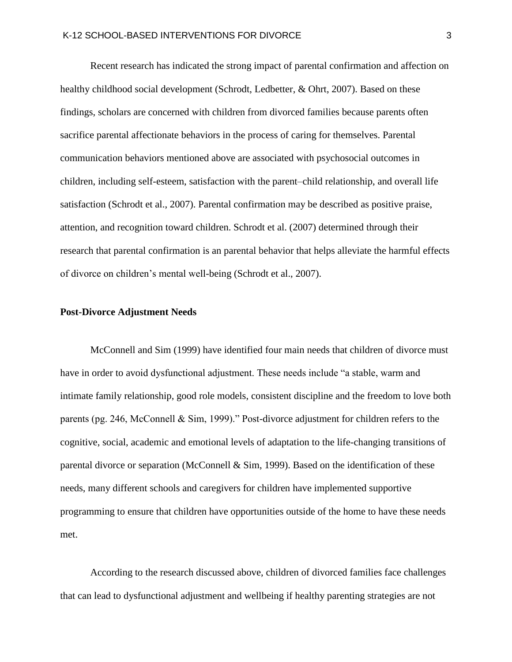Recent research has indicated the strong impact of parental confirmation and affection on healthy childhood social development (Schrodt, Ledbetter, & Ohrt, 2007). Based on these findings, scholars are concerned with children from divorced families because parents often sacrifice parental affectionate behaviors in the process of caring for themselves. Parental communication behaviors mentioned above are associated with psychosocial outcomes in children, including self-esteem, satisfaction with the parent–child relationship, and overall life satisfaction (Schrodt et al., 2007). Parental confirmation may be described as positive praise, attention, and recognition toward children. Schrodt et al. (2007) determined through their research that parental confirmation is an parental behavior that helps alleviate the harmful effects of divorce on children's mental well-being (Schrodt et al., 2007).

#### **Post-Divorce Adjustment Needs**

McConnell and Sim (1999) have identified four main needs that children of divorce must have in order to avoid dysfunctional adjustment. These needs include "a stable, warm and intimate family relationship, good role models, consistent discipline and the freedom to love both parents (pg. 246, McConnell & Sim, 1999)." Post-divorce adjustment for children refers to the cognitive, social, academic and emotional levels of adaptation to the life-changing transitions of parental divorce or separation (McConnell & Sim, 1999). Based on the identification of these needs, many different schools and caregivers for children have implemented supportive programming to ensure that children have opportunities outside of the home to have these needs met.

According to the research discussed above, children of divorced families face challenges that can lead to dysfunctional adjustment and wellbeing if healthy parenting strategies are not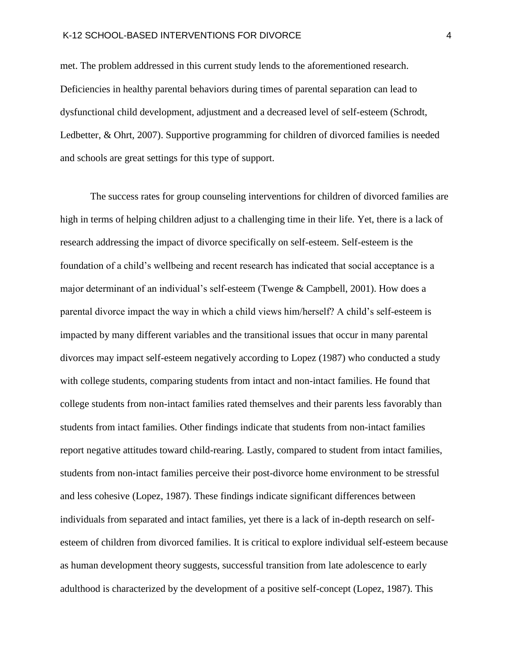met. The problem addressed in this current study lends to the aforementioned research. Deficiencies in healthy parental behaviors during times of parental separation can lead to dysfunctional child development, adjustment and a decreased level of self-esteem (Schrodt, Ledbetter, & Ohrt, 2007). Supportive programming for children of divorced families is needed and schools are great settings for this type of support.

The success rates for group counseling interventions for children of divorced families are high in terms of helping children adjust to a challenging time in their life. Yet, there is a lack of research addressing the impact of divorce specifically on self-esteem. Self-esteem is the foundation of a child's wellbeing and recent research has indicated that social acceptance is a major determinant of an individual's self-esteem (Twenge & Campbell, 2001). How does a parental divorce impact the way in which a child views him/herself? A child's self-esteem is impacted by many different variables and the transitional issues that occur in many parental divorces may impact self-esteem negatively according to Lopez (1987) who conducted a study with college students, comparing students from intact and non-intact families. He found that college students from non-intact families rated themselves and their parents less favorably than students from intact families. Other findings indicate that students from non-intact families report negative attitudes toward child-rearing. Lastly, compared to student from intact families, students from non-intact families perceive their post-divorce home environment to be stressful and less cohesive (Lopez, 1987). These findings indicate significant differences between individuals from separated and intact families, yet there is a lack of in-depth research on selfesteem of children from divorced families. It is critical to explore individual self-esteem because as human development theory suggests, successful transition from late adolescence to early adulthood is characterized by the development of a positive self-concept (Lopez, 1987). This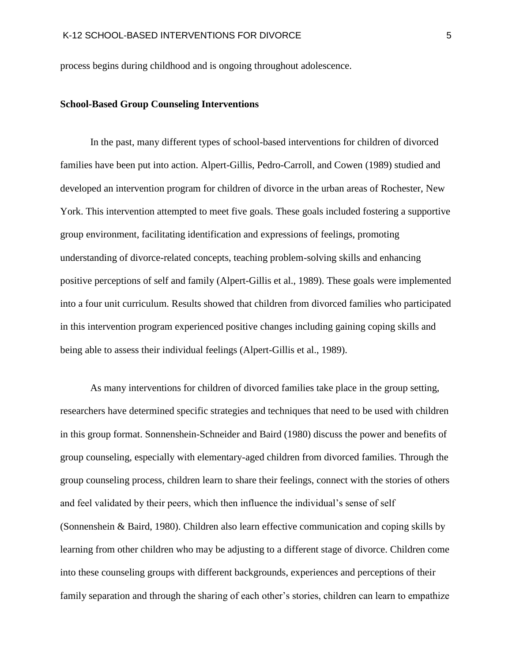process begins during childhood and is ongoing throughout adolescence.

#### **School-Based Group Counseling Interventions**

In the past, many different types of school-based interventions for children of divorced families have been put into action. Alpert-Gillis, Pedro-Carroll, and Cowen (1989) studied and developed an intervention program for children of divorce in the urban areas of Rochester, New York. This intervention attempted to meet five goals. These goals included fostering a supportive group environment, facilitating identification and expressions of feelings, promoting understanding of divorce-related concepts, teaching problem-solving skills and enhancing positive perceptions of self and family (Alpert-Gillis et al., 1989). These goals were implemented into a four unit curriculum. Results showed that children from divorced families who participated in this intervention program experienced positive changes including gaining coping skills and being able to assess their individual feelings (Alpert-Gillis et al., 1989).

As many interventions for children of divorced families take place in the group setting, researchers have determined specific strategies and techniques that need to be used with children in this group format. Sonnenshein-Schneider and Baird (1980) discuss the power and benefits of group counseling, especially with elementary-aged children from divorced families. Through the group counseling process, children learn to share their feelings, connect with the stories of others and feel validated by their peers, which then influence the individual's sense of self (Sonnenshein & Baird, 1980). Children also learn effective communication and coping skills by learning from other children who may be adjusting to a different stage of divorce. Children come into these counseling groups with different backgrounds, experiences and perceptions of their family separation and through the sharing of each other's stories, children can learn to empathize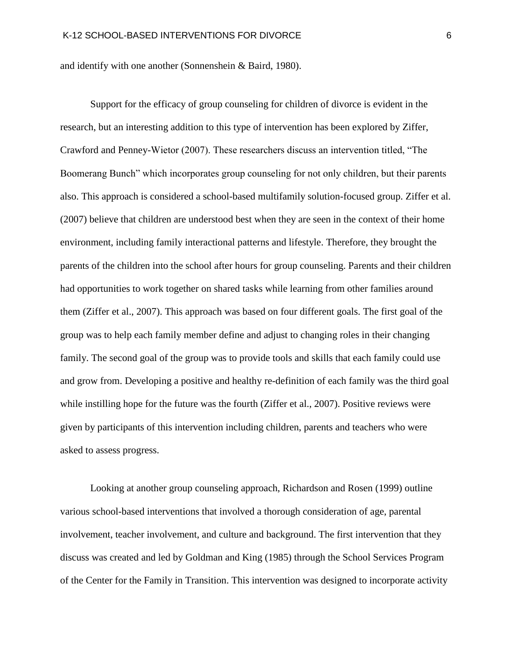and identify with one another (Sonnenshein & Baird, 1980).

Support for the efficacy of group counseling for children of divorce is evident in the research, but an interesting addition to this type of intervention has been explored by Ziffer, Crawford and Penney-Wietor (2007). These researchers discuss an intervention titled, "The Boomerang Bunch" which incorporates group counseling for not only children, but their parents also. This approach is considered a school-based multifamily solution-focused group. Ziffer et al. (2007) believe that children are understood best when they are seen in the context of their home environment, including family interactional patterns and lifestyle. Therefore, they brought the parents of the children into the school after hours for group counseling. Parents and their children had opportunities to work together on shared tasks while learning from other families around them (Ziffer et al., 2007). This approach was based on four different goals. The first goal of the group was to help each family member define and adjust to changing roles in their changing family. The second goal of the group was to provide tools and skills that each family could use and grow from. Developing a positive and healthy re-definition of each family was the third goal while instilling hope for the future was the fourth (Ziffer et al., 2007). Positive reviews were given by participants of this intervention including children, parents and teachers who were asked to assess progress.

Looking at another group counseling approach, Richardson and Rosen (1999) outline various school-based interventions that involved a thorough consideration of age, parental involvement, teacher involvement, and culture and background. The first intervention that they discuss was created and led by Goldman and King (1985) through the School Services Program of the Center for the Family in Transition. This intervention was designed to incorporate activity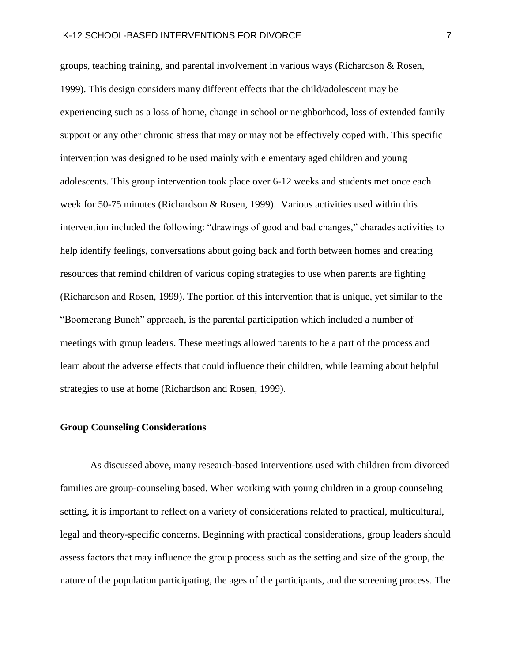groups, teaching training, and parental involvement in various ways (Richardson & Rosen, 1999). This design considers many different effects that the child/adolescent may be experiencing such as a loss of home, change in school or neighborhood, loss of extended family support or any other chronic stress that may or may not be effectively coped with. This specific intervention was designed to be used mainly with elementary aged children and young adolescents. This group intervention took place over 6-12 weeks and students met once each week for 50-75 minutes (Richardson & Rosen, 1999). Various activities used within this intervention included the following: "drawings of good and bad changes," charades activities to help identify feelings, conversations about going back and forth between homes and creating resources that remind children of various coping strategies to use when parents are fighting (Richardson and Rosen, 1999). The portion of this intervention that is unique, yet similar to the "Boomerang Bunch" approach, is the parental participation which included a number of meetings with group leaders. These meetings allowed parents to be a part of the process and learn about the adverse effects that could influence their children, while learning about helpful strategies to use at home (Richardson and Rosen, 1999).

#### **Group Counseling Considerations**

As discussed above, many research-based interventions used with children from divorced families are group-counseling based. When working with young children in a group counseling setting, it is important to reflect on a variety of considerations related to practical, multicultural, legal and theory-specific concerns. Beginning with practical considerations, group leaders should assess factors that may influence the group process such as the setting and size of the group, the nature of the population participating, the ages of the participants, and the screening process. The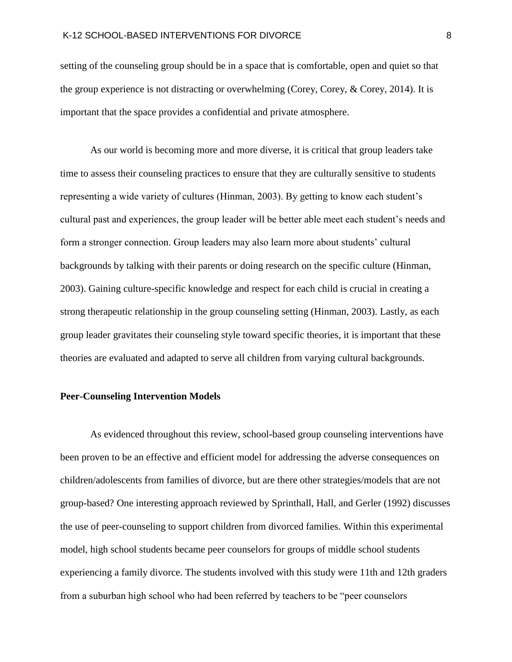setting of the counseling group should be in a space that is comfortable, open and quiet so that the group experience is not distracting or overwhelming (Corey, Corey, & Corey, 2014). It is important that the space provides a confidential and private atmosphere.

As our world is becoming more and more diverse, it is critical that group leaders take time to assess their counseling practices to ensure that they are culturally sensitive to students representing a wide variety of cultures (Hinman, 2003). By getting to know each student's cultural past and experiences, the group leader will be better able meet each student's needs and form a stronger connection. Group leaders may also learn more about students' cultural backgrounds by talking with their parents or doing research on the specific culture (Hinman, 2003). Gaining culture-specific knowledge and respect for each child is crucial in creating a strong therapeutic relationship in the group counseling setting (Hinman, 2003). Lastly, as each group leader gravitates their counseling style toward specific theories, it is important that these theories are evaluated and adapted to serve all children from varying cultural backgrounds.

#### **Peer-Counseling Intervention Models**

As evidenced throughout this review, school-based group counseling interventions have been proven to be an effective and efficient model for addressing the adverse consequences on children/adolescents from families of divorce, but are there other strategies/models that are not group-based? One interesting approach reviewed by Sprinthall, Hall, and Gerler (1992) discusses the use of peer-counseling to support children from divorced families. Within this experimental model, high school students became peer counselors for groups of middle school students experiencing a family divorce. The students involved with this study were 11th and 12th graders from a suburban high school who had been referred by teachers to be "peer counselors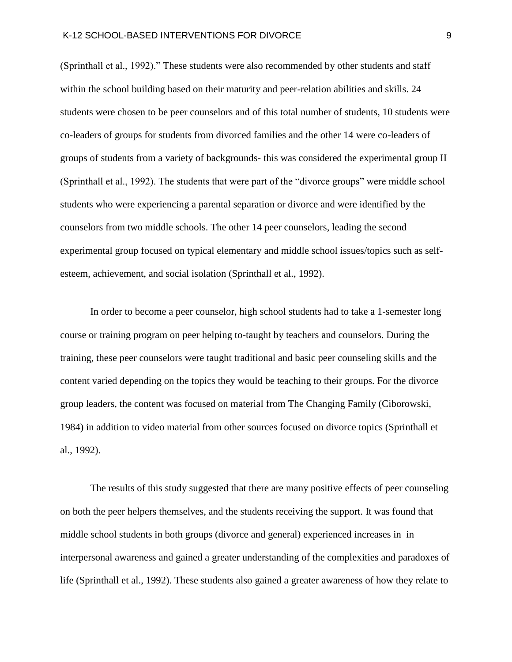(Sprinthall et al., 1992)." These students were also recommended by other students and staff within the school building based on their maturity and peer-relation abilities and skills. 24 students were chosen to be peer counselors and of this total number of students, 10 students were co-leaders of groups for students from divorced families and the other 14 were co-leaders of groups of students from a variety of backgrounds- this was considered the experimental group II (Sprinthall et al., 1992). The students that were part of the "divorce groups" were middle school students who were experiencing a parental separation or divorce and were identified by the counselors from two middle schools. The other 14 peer counselors, leading the second experimental group focused on typical elementary and middle school issues/topics such as selfesteem, achievement, and social isolation (Sprinthall et al., 1992).

In order to become a peer counselor, high school students had to take a 1-semester long course or training program on peer helping to-taught by teachers and counselors. During the training, these peer counselors were taught traditional and basic peer counseling skills and the content varied depending on the topics they would be teaching to their groups. For the divorce group leaders, the content was focused on material from The Changing Family (Ciborowski, 1984) in addition to video material from other sources focused on divorce topics (Sprinthall et al., 1992).

The results of this study suggested that there are many positive effects of peer counseling on both the peer helpers themselves, and the students receiving the support. It was found that middle school students in both groups (divorce and general) experienced increases in in interpersonal awareness and gained a greater understanding of the complexities and paradoxes of life (Sprinthall et al., 1992). These students also gained a greater awareness of how they relate to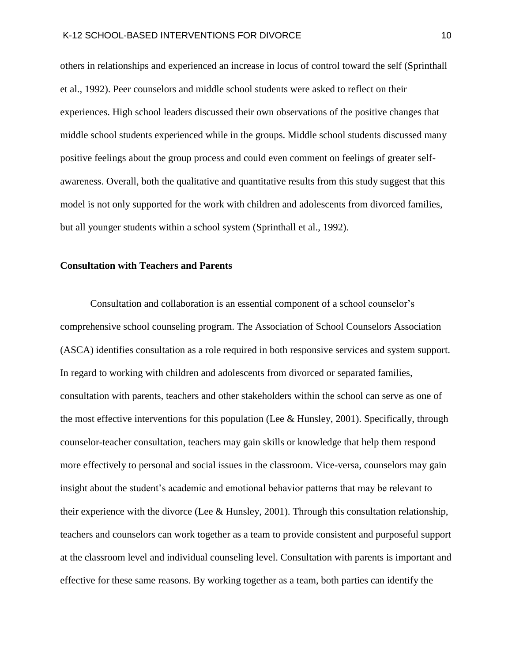others in relationships and experienced an increase in locus of control toward the self (Sprinthall et al., 1992). Peer counselors and middle school students were asked to reflect on their experiences. High school leaders discussed their own observations of the positive changes that middle school students experienced while in the groups. Middle school students discussed many positive feelings about the group process and could even comment on feelings of greater selfawareness. Overall, both the qualitative and quantitative results from this study suggest that this model is not only supported for the work with children and adolescents from divorced families, but all younger students within a school system (Sprinthall et al., 1992).

#### **Consultation with Teachers and Parents**

Consultation and collaboration is an essential component of a school counselor's comprehensive school counseling program. The Association of School Counselors Association (ASCA) identifies consultation as a role required in both responsive services and system support. In regard to working with children and adolescents from divorced or separated families, consultation with parents, teachers and other stakeholders within the school can serve as one of the most effective interventions for this population (Lee & Hunsley, 2001). Specifically, through counselor-teacher consultation, teachers may gain skills or knowledge that help them respond more effectively to personal and social issues in the classroom. Vice-versa, counselors may gain insight about the student's academic and emotional behavior patterns that may be relevant to their experience with the divorce (Lee & Hunsley, 2001). Through this consultation relationship, teachers and counselors can work together as a team to provide consistent and purposeful support at the classroom level and individual counseling level. Consultation with parents is important and effective for these same reasons. By working together as a team, both parties can identify the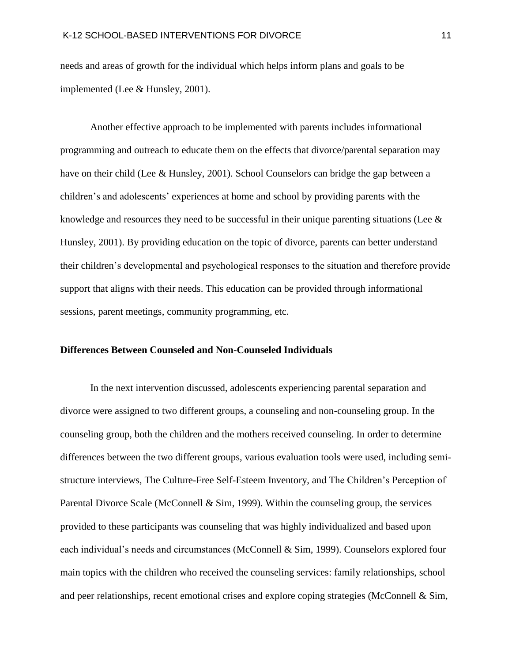needs and areas of growth for the individual which helps inform plans and goals to be implemented (Lee & Hunsley, 2001).

Another effective approach to be implemented with parents includes informational programming and outreach to educate them on the effects that divorce/parental separation may have on their child (Lee & Hunsley, 2001). School Counselors can bridge the gap between a children's and adolescents' experiences at home and school by providing parents with the knowledge and resources they need to be successful in their unique parenting situations (Lee  $\&$ Hunsley, 2001). By providing education on the topic of divorce, parents can better understand their children's developmental and psychological responses to the situation and therefore provide support that aligns with their needs. This education can be provided through informational sessions, parent meetings, community programming, etc.

#### **Differences Between Counseled and Non-Counseled Individuals**

In the next intervention discussed, adolescents experiencing parental separation and divorce were assigned to two different groups, a counseling and non-counseling group. In the counseling group, both the children and the mothers received counseling. In order to determine differences between the two different groups, various evaluation tools were used, including semistructure interviews, The Culture-Free Self-Esteem Inventory, and The Children's Perception of Parental Divorce Scale (McConnell & Sim, 1999). Within the counseling group, the services provided to these participants was counseling that was highly individualized and based upon each individual's needs and circumstances (McConnell & Sim, 1999). Counselors explored four main topics with the children who received the counseling services: family relationships, school and peer relationships, recent emotional crises and explore coping strategies (McConnell & Sim,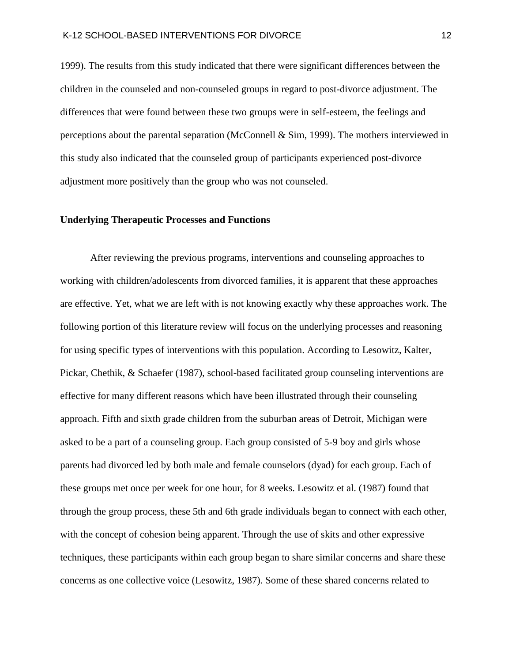1999). The results from this study indicated that there were significant differences between the children in the counseled and non-counseled groups in regard to post-divorce adjustment. The differences that were found between these two groups were in self-esteem, the feelings and perceptions about the parental separation (McConnell & Sim, 1999). The mothers interviewed in this study also indicated that the counseled group of participants experienced post-divorce adjustment more positively than the group who was not counseled.

#### **Underlying Therapeutic Processes and Functions**

After reviewing the previous programs, interventions and counseling approaches to working with children/adolescents from divorced families, it is apparent that these approaches are effective. Yet, what we are left with is not knowing exactly why these approaches work. The following portion of this literature review will focus on the underlying processes and reasoning for using specific types of interventions with this population. According to Lesowitz, Kalter, Pickar, Chethik, & Schaefer (1987), school-based facilitated group counseling interventions are effective for many different reasons which have been illustrated through their counseling approach. Fifth and sixth grade children from the suburban areas of Detroit, Michigan were asked to be a part of a counseling group. Each group consisted of 5-9 boy and girls whose parents had divorced led by both male and female counselors (dyad) for each group. Each of these groups met once per week for one hour, for 8 weeks. Lesowitz et al. (1987) found that through the group process, these 5th and 6th grade individuals began to connect with each other, with the concept of cohesion being apparent. Through the use of skits and other expressive techniques, these participants within each group began to share similar concerns and share these concerns as one collective voice (Lesowitz, 1987). Some of these shared concerns related to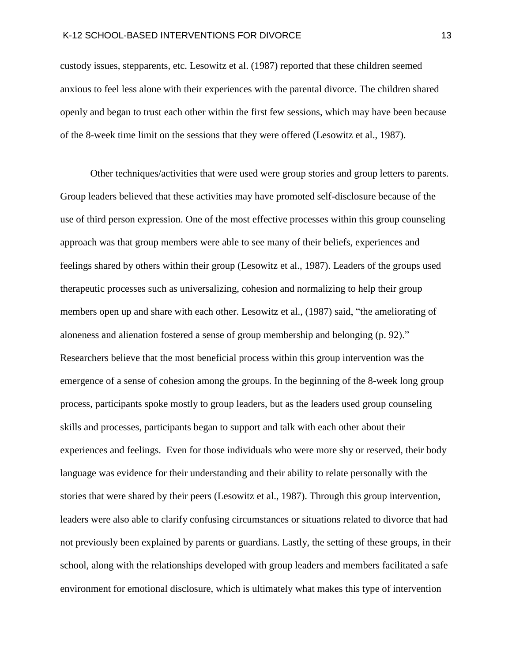custody issues, stepparents, etc. Lesowitz et al. (1987) reported that these children seemed anxious to feel less alone with their experiences with the parental divorce. The children shared openly and began to trust each other within the first few sessions, which may have been because of the 8-week time limit on the sessions that they were offered (Lesowitz et al., 1987).

Other techniques/activities that were used were group stories and group letters to parents. Group leaders believed that these activities may have promoted self-disclosure because of the use of third person expression. One of the most effective processes within this group counseling approach was that group members were able to see many of their beliefs, experiences and feelings shared by others within their group (Lesowitz et al., 1987). Leaders of the groups used therapeutic processes such as universalizing, cohesion and normalizing to help their group members open up and share with each other. Lesowitz et al., (1987) said, "the ameliorating of aloneness and alienation fostered a sense of group membership and belonging (p. 92)." Researchers believe that the most beneficial process within this group intervention was the emergence of a sense of cohesion among the groups. In the beginning of the 8-week long group process, participants spoke mostly to group leaders, but as the leaders used group counseling skills and processes, participants began to support and talk with each other about their experiences and feelings. Even for those individuals who were more shy or reserved, their body language was evidence for their understanding and their ability to relate personally with the stories that were shared by their peers (Lesowitz et al., 1987). Through this group intervention, leaders were also able to clarify confusing circumstances or situations related to divorce that had not previously been explained by parents or guardians. Lastly, the setting of these groups, in their school, along with the relationships developed with group leaders and members facilitated a safe environment for emotional disclosure, which is ultimately what makes this type of intervention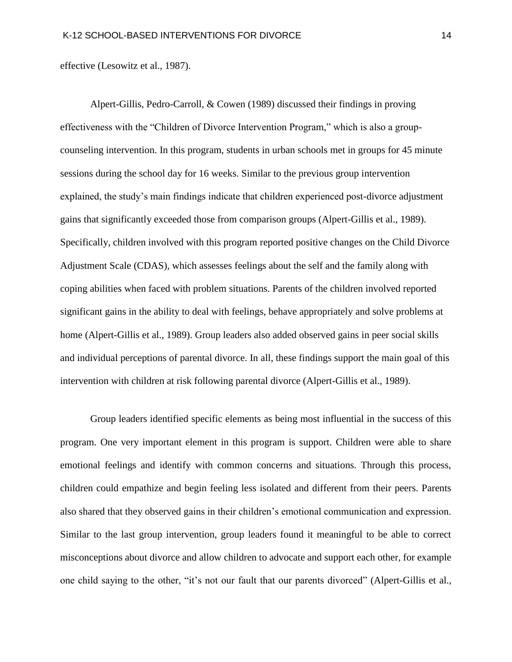effective (Lesowitz et al., 1987).

Alpert-Gillis, Pedro-Carroll, & Cowen (1989) discussed their findings in proving effectiveness with the "Children of Divorce Intervention Program," which is also a groupcounseling intervention. In this program, students in urban schools met in groups for 45 minute sessions during the school day for 16 weeks. Similar to the previous group intervention explained, the study's main findings indicate that children experienced post-divorce adjustment gains that significantly exceeded those from comparison groups (Alpert-Gillis et al., 1989). Specifically, children involved with this program reported positive changes on the Child Divorce Adjustment Scale (CDAS), which assesses feelings about the self and the family along with coping abilities when faced with problem situations. Parents of the children involved reported significant gains in the ability to deal with feelings, behave appropriately and solve problems at home (Alpert-Gillis et al., 1989). Group leaders also added observed gains in peer social skills and individual perceptions of parental divorce. In all, these findings support the main goal of this intervention with children at risk following parental divorce (Alpert-Gillis et al., 1989).

Group leaders identified specific elements as being most influential in the success of this program. One very important element in this program is support. Children were able to share emotional feelings and identify with common concerns and situations. Through this process, children could empathize and begin feeling less isolated and different from their peers. Parents also shared that they observed gains in their children's emotional communication and expression. Similar to the last group intervention, group leaders found it meaningful to be able to correct misconceptions about divorce and allow children to advocate and support each other, for example one child saying to the other, "it's not our fault that our parents divorced" (Alpert-Gillis et al.,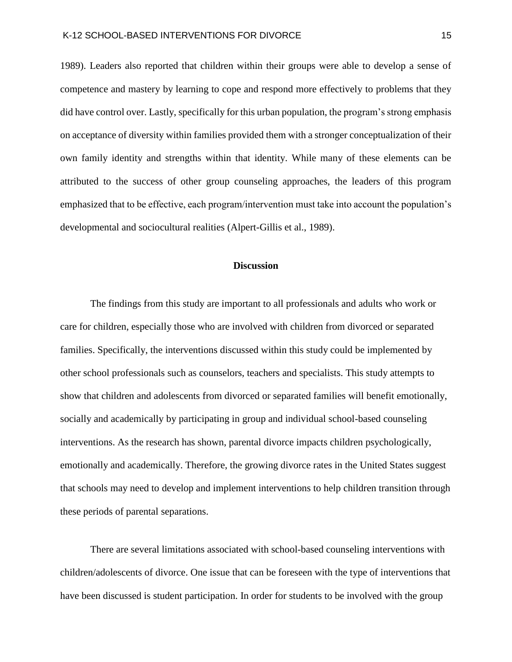1989). Leaders also reported that children within their groups were able to develop a sense of competence and mastery by learning to cope and respond more effectively to problems that they did have control over. Lastly, specifically for this urban population, the program's strong emphasis on acceptance of diversity within families provided them with a stronger conceptualization of their own family identity and strengths within that identity. While many of these elements can be attributed to the success of other group counseling approaches, the leaders of this program emphasized that to be effective, each program/intervention must take into account the population's developmental and sociocultural realities (Alpert-Gillis et al., 1989).

#### **Discussion**

The findings from this study are important to all professionals and adults who work or care for children, especially those who are involved with children from divorced or separated families. Specifically, the interventions discussed within this study could be implemented by other school professionals such as counselors, teachers and specialists. This study attempts to show that children and adolescents from divorced or separated families will benefit emotionally, socially and academically by participating in group and individual school-based counseling interventions. As the research has shown, parental divorce impacts children psychologically, emotionally and academically. Therefore, the growing divorce rates in the United States suggest that schools may need to develop and implement interventions to help children transition through these periods of parental separations.

There are several limitations associated with school-based counseling interventions with children/adolescents of divorce. One issue that can be foreseen with the type of interventions that have been discussed is student participation. In order for students to be involved with the group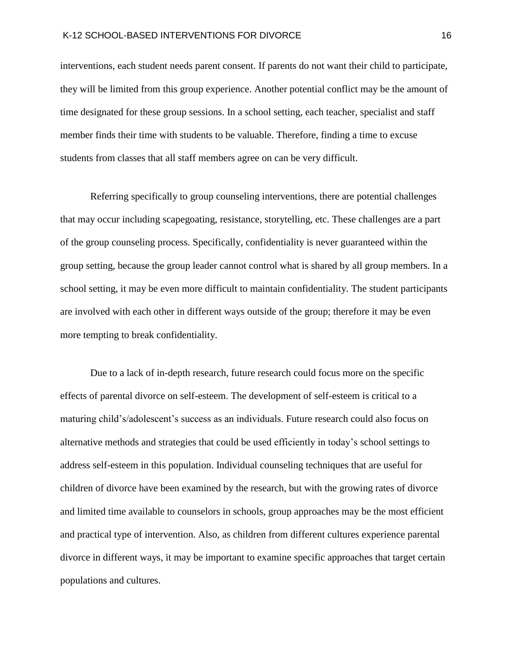interventions, each student needs parent consent. If parents do not want their child to participate, they will be limited from this group experience. Another potential conflict may be the amount of time designated for these group sessions. In a school setting, each teacher, specialist and staff member finds their time with students to be valuable. Therefore, finding a time to excuse students from classes that all staff members agree on can be very difficult.

Referring specifically to group counseling interventions, there are potential challenges that may occur including scapegoating, resistance, storytelling, etc. These challenges are a part of the group counseling process. Specifically, confidentiality is never guaranteed within the group setting, because the group leader cannot control what is shared by all group members. In a school setting, it may be even more difficult to maintain confidentiality. The student participants are involved with each other in different ways outside of the group; therefore it may be even more tempting to break confidentiality.

Due to a lack of in-depth research, future research could focus more on the specific effects of parental divorce on self-esteem. The development of self-esteem is critical to a maturing child's/adolescent's success as an individuals. Future research could also focus on alternative methods and strategies that could be used efficiently in today's school settings to address self-esteem in this population. Individual counseling techniques that are useful for children of divorce have been examined by the research, but with the growing rates of divorce and limited time available to counselors in schools, group approaches may be the most efficient and practical type of intervention. Also, as children from different cultures experience parental divorce in different ways, it may be important to examine specific approaches that target certain populations and cultures.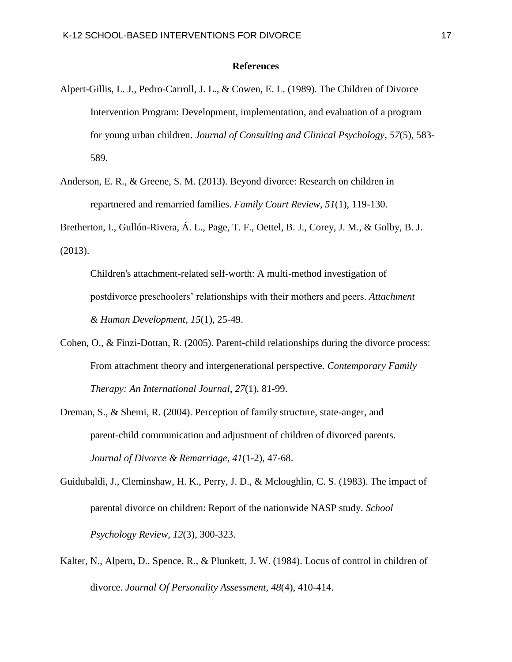#### **References**

- Alpert-Gillis, L. J., Pedro-Carroll, J. L., & Cowen, E. L. (1989). The Children of Divorce Intervention Program: Development, implementation, and evaluation of a program for young urban children. *Journal of Consulting and Clinical Psychology*, *57*(5), 583- 589.
- Anderson, E. R., & Greene, S. M. (2013). Beyond divorce: Research on children in repartnered and remarried families. *Family Court Review*, *51*(1), 119-130.

Bretherton, I., Gullón-Rivera, Á. L., Page, T. F., Oettel, B. J., Corey, J. M., & Golby, B. J. (2013).

Children's attachment-related self-worth: A multi-method investigation of postdivorce preschoolers' relationships with their mothers and peers. *Attachment & Human Development*, *15*(1), 25-49.

- Cohen, O., & Finzi-Dottan, R. (2005). Parent-child relationships during the divorce process: From attachment theory and intergenerational perspective. *Contemporary Family Therapy: An International Journal*, *27*(1), 81-99.
- Dreman, S., & Shemi, R. (2004). Perception of family structure, state-anger, and parent-child communication and adjustment of children of divorced parents. *Journal of Divorce & Remarriage*, *41*(1-2), 47-68.
- Guidubaldi, J., Cleminshaw, H. K., Perry, J. D., & Mcloughlin, C. S. (1983). The impact of parental divorce on children: Report of the nationwide NASP study. *School Psychology Review, 12*(3), 300-323.
- Kalter, N., Alpern, D., Spence, R., & Plunkett, J. W. (1984). Locus of control in children of divorce. *Journal Of Personality Assessment, 48*(4), 410-414.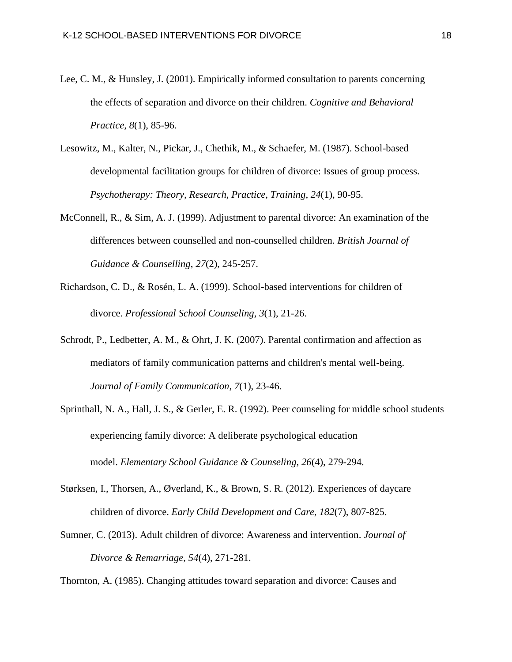- Lee, C. M., & Hunsley, J. (2001). Empirically informed consultation to parents concerning the effects of separation and divorce on their children. *Cognitive and Behavioral Practice, 8*(1), 85-96.
- Lesowitz, M., Kalter, N., Pickar, J., Chethik, M., & Schaefer, M. (1987). School-based developmental facilitation groups for children of divorce: Issues of group process. *Psychotherapy: Theory, Research, Practice, Training*, *24*(1), 90-95.
- McConnell, R., & Sim, A. J. (1999). Adjustment to parental divorce: An examination of the differences between counselled and non-counselled children. *British Journal of Guidance & Counselling*, *27*(2), 245-257.
- Richardson, C. D., & Rosén, L. A. (1999). School-based interventions for children of divorce. *Professional School Counseling, 3*(1), 21-26.
- Schrodt, P., Ledbetter, A. M., & Ohrt, J. K. (2007). Parental confirmation and affection as mediators of family communication patterns and children's mental well-being. *Journal of Family Communication*, *7*(1), 23-46.
- Sprinthall, N. A., Hall, J. S., & Gerler, E. R. (1992). Peer counseling for middle school students experiencing family divorce: A deliberate psychological education model. *Elementary School Guidance & Counseling, 26*(4), 279-294.
- Størksen, I., Thorsen, A., Øverland, K., & Brown, S. R. (2012). Experiences of daycare children of divorce. *Early Child Development and Care*, *182*(7), 807-825.
- Sumner, C. (2013). Adult children of divorce: Awareness and intervention. *Journal of Divorce & Remarriage*, *54*(4), 271-281.

Thornton, A. (1985). Changing attitudes toward separation and divorce: Causes and